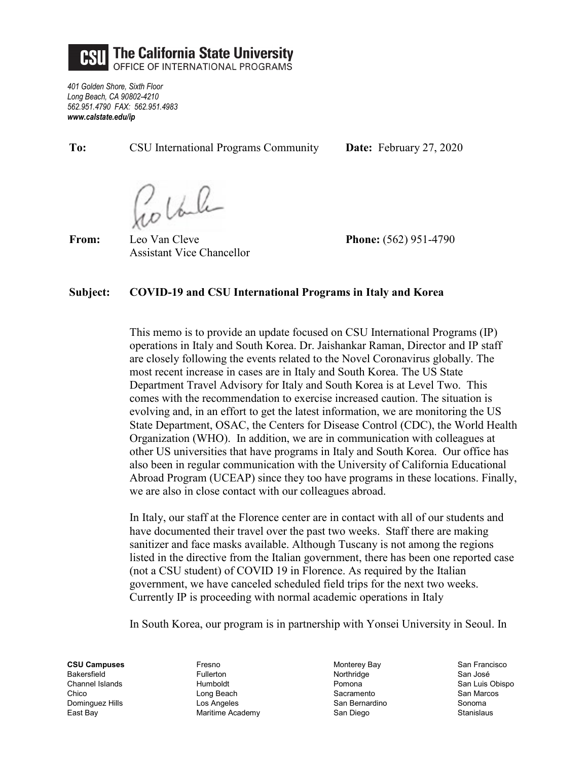

*401 Golden Shore, Sixth Floor Long Beach, CA 90802-4210 562.951.4790 FAX: 562.951.4983 www.calstate.edu/ip*

**To:** CSU International Programs Community **Date:** February 27, 2020

20 Vale

**From:** Leo Van Cleve **Phone:** (562) 951-4790 Assistant Vice Chancellor

## **Subject: COVID-19 and CSU International Programs in Italy and Korea**

This memo is to provide an update focused on CSU International Programs (IP) operations in Italy and South Korea. Dr. Jaishankar Raman, Director and IP staff are closely following the events related to the Novel Coronavirus globally. The most recent increase in cases are in Italy and South Korea. The US State Department Travel Advisory for Italy and South Korea is at Level Two. This comes with the recommendation to exercise increased caution. The situation is evolving and, in an effort to get the latest information, we are monitoring the US State Department, OSAC, the Centers for Disease Control (CDC), the World Health Organization (WHO). In addition, we are in communication with colleagues at other US universities that have programs in Italy and South Korea. Our office has also been in regular communication with the University of California Educational Abroad Program (UCEAP) since they too have programs in these locations. Finally, we are also in close contact with our colleagues abroad.

In Italy, our staff at the Florence center are in contact with all of our students and have documented their travel over the past two weeks. Staff there are making sanitizer and face masks available. Although Tuscany is not among the regions listed in the directive from the Italian government, there has been one reported case (not a CSU student) of COVID 19 in Florence. As required by the Italian government, we have canceled scheduled field trips for the next two weeks. Currently IP is proceeding with normal academic operations in Italy

In South Korea, our program is in partnership with Yonsei University in Seoul. In

**CSU Campuses** Bakersfield Channel Islands Chico Dominguez Hills East Bay

Fresno Fullerton Humboldt Long Beach Los Angeles Maritime Academy Monterey Bay Northridge Pomona Sacramento San Bernardino San Diego

San Francisco San José San Luis Obispo San Marcos Sonoma Stanislaus